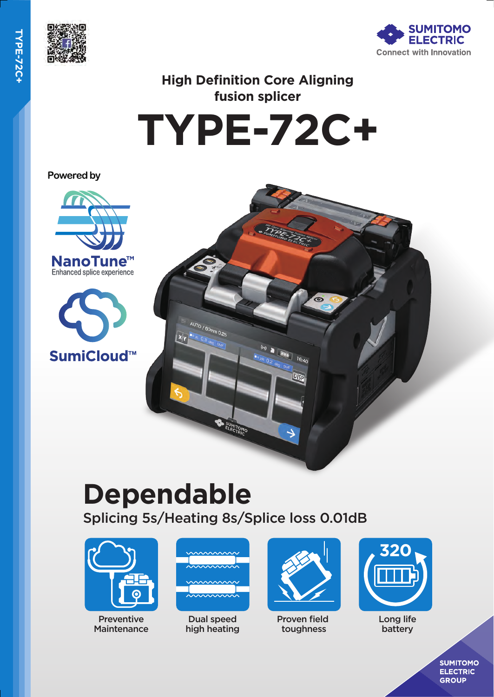



# **High Definition Core Aligning fusion splicer**

**TYPE-72C+**

Powered by







# **Dependable**

Splicing 5s/Heating 8s/Splice loss 0.01dB



Preventive **Maintenance** 



Dual speed high heating



Proven field toughness



Long life battery

**SUMITOMO ELECTRIC GROUP**